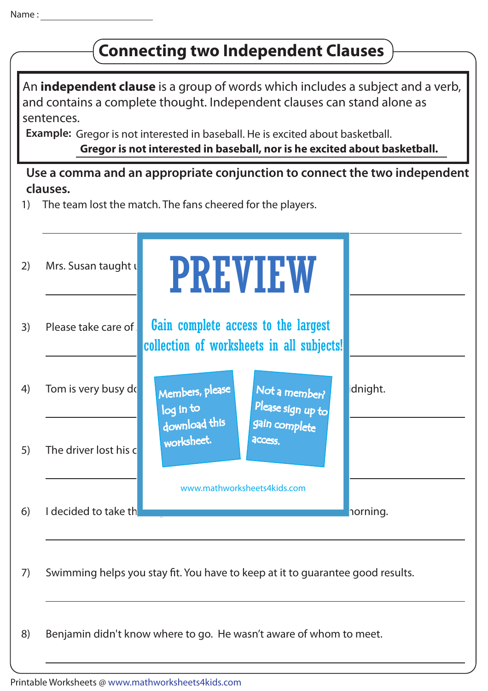## **Connecting two Independent Clauses**

An **independent clause** is a group of words which includes a subject and a verb, and contains a complete thought. Independent clauses can stand alone as sentences.

**Example:** Gregor is not interested in baseball. He is excited about basketball. **Gregor is not interested in baseball, nor is he excited about basketball.**

#### **Use a comma and an appropriate conjunction to connect the two independent clauses.**

1) The team lost the match. The fans cheered for the players.

|    | Mrs. Susan taught u   | <b>PREVIEW</b>                                                                   |          |
|----|-----------------------|----------------------------------------------------------------------------------|----------|
| 3) | Please take care of   | Gain complete access to the largest<br>collection of worksheets in all subjects! |          |
|    | Tom is very busy do   | Members, please<br>Not a member?<br>Please sign up to<br>log in to               | idnight. |
|    | The driver lost his c | download this<br>gain complete<br>worksheet.<br>access.                          |          |
|    | I decided to take th  | www.mathworksheets4kids.com                                                      | norning. |
|    |                       | Swimming helps you stay fit. You have to keep at it to quarantee good results.   |          |
|    |                       | Benjamin didn't know where to go. He wasn't aware of whom to meet.               |          |